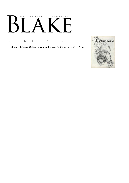# AN ILLUSTRATED QUARTERLY  $\overline{L}$  $B^{\prime}$

C O N T E N T S

Blake/An Illustrated Quarterly, Volume 14, Issue 4, Spring 1981, pp. 177-179

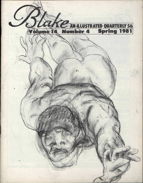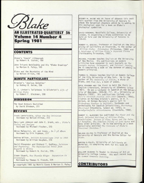*<i>Slake*<br>AN ILLUSTRATED QUARTERLY 56

# Volume 14 Number 4 **Spring 1981** Shrid 1981

#### CONTENTS

Blake' s "Enoch" Lithograph by Robert N. Essick, 180

John Trivett Nettleship and His "Blake Drawings" by Morton D. Paley, 185

Blake and the Mountains of the Mind by Nelson Hilton, 196

#### MINUTE PARTICULARS

Bromion's "Jealous Dolphins " by Rodney M. Baine, 206

W. J. Linton's Tailpieces in Gilchrist's Life of *William Blake*  by Robert F. Gleckner, 208

#### DISCUSSION

The Dead Ardours Revisited by David Bindman, 211

#### REVIEWS

Frank Lentricchia, *After the New Criticism*  Reviewed by Nelson Hilton, 212

Mary Lynn Johnson and John E. Grant, eds., *Blake's Poetry and Designs*  Reviewed by Michael Fischer, 215

Göran Malmqvist, ed. and trans., *En 0 på Månen* Reviewed by Erik Frykman, 217

Andrew Wilton, *British Watereolours 1750 to 1850*  Reviewed by William Vaughan, 218

David Alexander and Richard T. Godfrey, *Painters and Engraving: The Reproductive Print from Hogarth to Wilkie*  Reviewed by Robert N. Essick, 220.

Simon Stuart, *New Phoenix Wings: Reparation in Literature* 

Reviewed by Thomas R. Frosch, 224

© copyright 1981 by Morris Eaves & Morton D. Paley

RODNEY M. BAINE was on leave of absence this past fall quarter from the University of Georgia to check the botanical chapters which he is adding to his zoological ones for a book on Blake's biological symbolism.

DAVID BINDMAN, Westfield College, University of London, is organizing a Blake exhibition to be held at Yale and the University of Toronto in 198-83.

ROBERT N. ESSICK, Professor of English at the University of California at Riverside, is the author of *William Blake: Printmaker* (Princeton, 1980) and *A Catalogue of William Blake's Separate Plates*  (forthcoming Princeton, 1982).

MICHAEL FISCHER teaches English at the University of New Mexico. His publications on modern criticism have appeared in such journals as *The Georgia Review, Salmagundi,* and *Critical Inquiry.*  He is completing a book on the defense of poetry in modern criticism.

THOMAS R. FROSCH teaches English at Queens College of the City University of New York. He is the author of *The Awakening of Albion,* a study of Blake, and *Plum Gut,* a book of poems.

ERIK FRYKMAN was the first to hold the Chair in English Literature, University of Göteborg (since 1967). He was a Lecturer in Swedish at the University of Aberdeen, 1950-56. Fi1. dr., University of Uppsala (1959). His publications include *John Gait's Scottish Stories 1820-1823* (Uppsala, 1959); studies on Matthew Arnolds's poetry, on W. E. Aytoun, on Norman MacCaig's poetry (all in *Gothenburg Studies in English);* Textbooks and anthologies for Swedish universities; *Skottamas Skottland* (Stockholm, latest ed. 1976); *De mots'dgelsefulla viktorianema* (Stockholm, 1980).

ROBERT F. GLECKNER has published *The Piper and the Bard, Selected Writings of William Blake, Romanticism: Points of View, Byron and the Ruins of Paradise, The Complete Poetry of Lord Byron* and many other articles. He is now working on a book tentatively entitled *The Contours of Blake's "Poetical Sketches. "* 

NELSON HILTON is Professor of English at the University of Georgia and the Review Editor for *Blake.* 

MORTON D.PALEY, University of California at Berkeley, is completing work for his book on *Jerusalem.* 

WILLIAM VAUGHAN is Reader in History of Art at University College London. His most recent book is *German Romantic Painting.* 

### CONTRIBUTORS